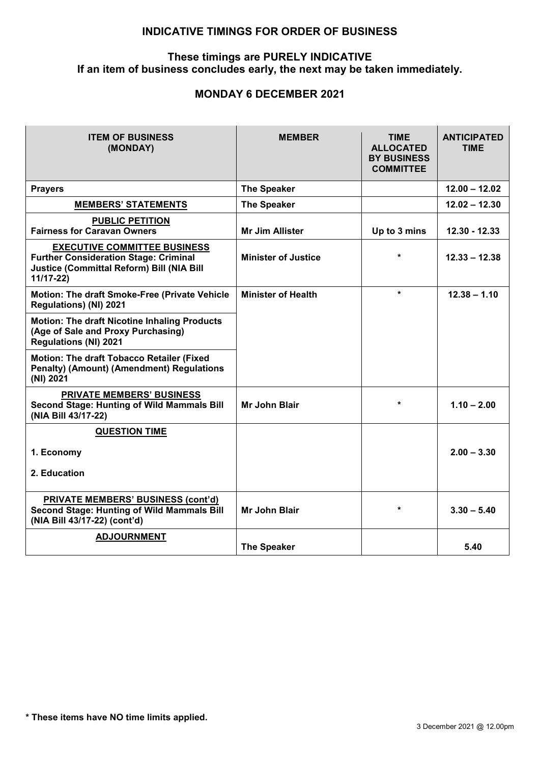#### **INDICATIVE TIMINGS FOR ORDER OF BUSINESS**

# **These timings are PURELY INDICATIVE If an item of business concludes early, the next may be taken immediately.**

### **MONDAY 6 DECEMBER 2021**

| <b>ITEM OF BUSINESS</b><br>(MONDAY)                                                                                                                   | <b>MEMBER</b>              | <b>TIME</b><br><b>ALLOCATED</b><br><b>BY BUSINESS</b><br><b>COMMITTEE</b> | <b>ANTICIPATED</b><br><b>TIME</b> |
|-------------------------------------------------------------------------------------------------------------------------------------------------------|----------------------------|---------------------------------------------------------------------------|-----------------------------------|
| <b>Prayers</b>                                                                                                                                        | <b>The Speaker</b>         |                                                                           | $12.00 - 12.02$                   |
| <b>MEMBERS' STATEMENTS</b>                                                                                                                            | <b>The Speaker</b>         |                                                                           | $12.02 - 12.30$                   |
| <b>PUBLIC PETITION</b><br><b>Fairness for Caravan Owners</b>                                                                                          | <b>Mr Jim Allister</b>     | Up to 3 mins                                                              | 12.30 - 12.33                     |
| <b>EXECUTIVE COMMITTEE BUSINESS</b><br><b>Further Consideration Stage: Criminal</b><br><b>Justice (Committal Reform) Bill (NIA Bill</b><br>$11/17-22$ | <b>Minister of Justice</b> | $\star$                                                                   | $12.33 - 12.38$                   |
| Motion: The draft Smoke-Free (Private Vehicle<br>Regulations) (NI) 2021                                                                               | <b>Minister of Health</b>  | $\star$                                                                   | $12.38 - 1.10$                    |
| <b>Motion: The draft Nicotine Inhaling Products</b><br>(Age of Sale and Proxy Purchasing)<br><b>Regulations (NI) 2021</b>                             |                            |                                                                           |                                   |
| <b>Motion: The draft Tobacco Retailer (Fixed</b><br><b>Penalty) (Amount) (Amendment) Regulations</b><br>(NI) 2021                                     |                            |                                                                           |                                   |
| PRIVATE MEMBERS' BUSINESS<br><b>Second Stage: Hunting of Wild Mammals Bill</b><br>(NIA Bill 43/17-22)                                                 | <b>Mr John Blair</b>       | ÷                                                                         | $1.10 - 2.00$                     |
| <b>QUESTION TIME</b>                                                                                                                                  |                            |                                                                           |                                   |
| 1. Economy                                                                                                                                            |                            |                                                                           | $2.00 - 3.30$                     |
| 2. Education                                                                                                                                          |                            |                                                                           |                                   |
| <b>PRIVATE MEMBERS' BUSINESS (cont'd)</b><br>Second Stage: Hunting of Wild Mammals Bill<br>(NIA Bill 43/17-22) (cont'd)                               | <b>Mr John Blair</b>       | $\star$                                                                   | $3.30 - 5.40$                     |
| <b>ADJOURNMENT</b>                                                                                                                                    | <b>The Speaker</b>         |                                                                           | 5.40                              |

**\* These items have NO time limits applied.**